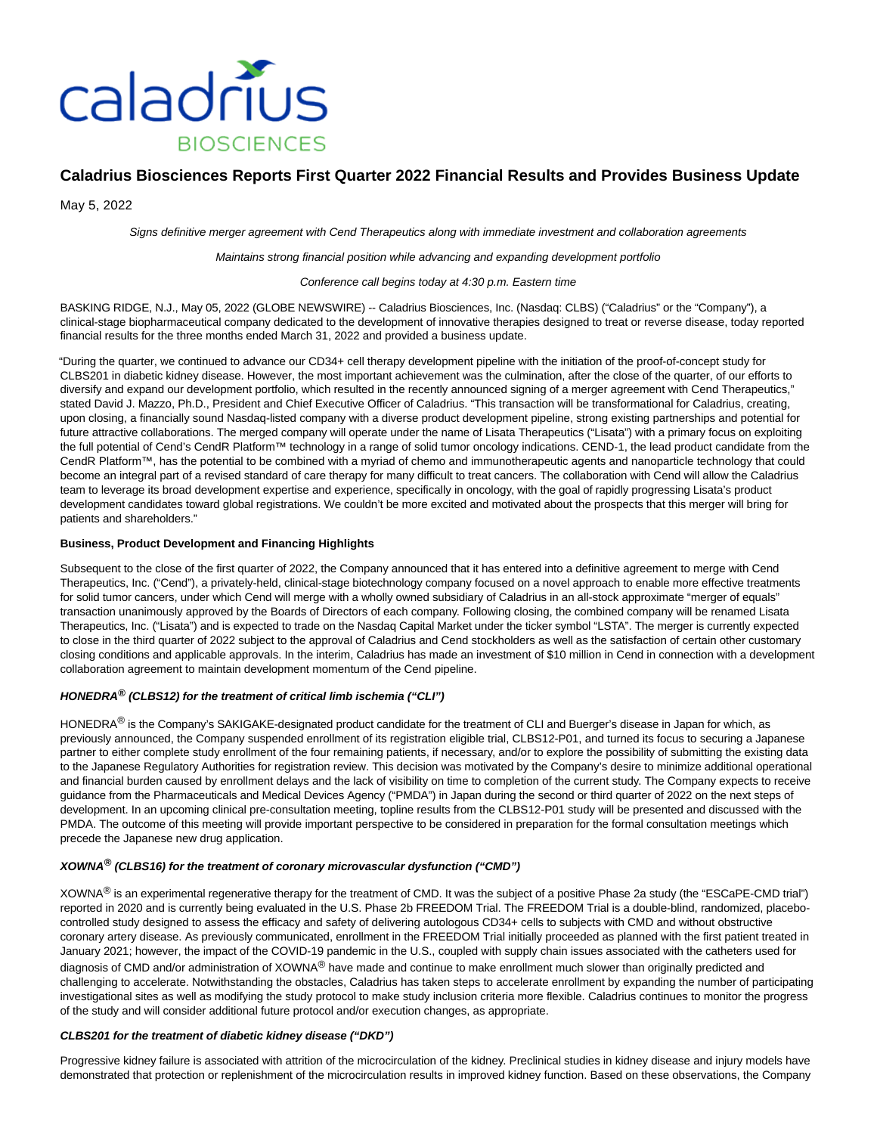

# **Caladrius Biosciences Reports First Quarter 2022 Financial Results and Provides Business Update**

May 5, 2022

Signs definitive merger agreement with Cend Therapeutics along with immediate investment and collaboration agreements

Maintains strong financial position while advancing and expanding development portfolio

#### Conference call begins today at 4:30 p.m. Eastern time

BASKING RIDGE, N.J., May 05, 2022 (GLOBE NEWSWIRE) -- Caladrius Biosciences, Inc. (Nasdaq: CLBS) ("Caladrius" or the "Company"), a clinical-stage biopharmaceutical company dedicated to the development of innovative therapies designed to treat or reverse disease, today reported financial results for the three months ended March 31, 2022 and provided a business update.

"During the quarter, we continued to advance our CD34+ cell therapy development pipeline with the initiation of the proof-of-concept study for CLBS201 in diabetic kidney disease. However, the most important achievement was the culmination, after the close of the quarter, of our efforts to diversify and expand our development portfolio, which resulted in the recently announced signing of a merger agreement with Cend Therapeutics," stated David J. Mazzo, Ph.D., President and Chief Executive Officer of Caladrius. "This transaction will be transformational for Caladrius, creating, upon closing, a financially sound Nasdaq-listed company with a diverse product development pipeline, strong existing partnerships and potential for future attractive collaborations. The merged company will operate under the name of Lisata Therapeutics ("Lisata") with a primary focus on exploiting the full potential of Cend's CendR Platform™ technology in a range of solid tumor oncology indications. CEND-1, the lead product candidate from the CendR Platform™, has the potential to be combined with a myriad of chemo and immunotherapeutic agents and nanoparticle technology that could become an integral part of a revised standard of care therapy for many difficult to treat cancers. The collaboration with Cend will allow the Caladrius team to leverage its broad development expertise and experience, specifically in oncology, with the goal of rapidly progressing Lisata's product development candidates toward global registrations. We couldn't be more excited and motivated about the prospects that this merger will bring for patients and shareholders."

#### **Business, Product Development and Financing Highlights**

Subsequent to the close of the first quarter of 2022, the Company announced that it has entered into a definitive agreement to merge with Cend Therapeutics, Inc. ("Cend"), a privately-held, clinical-stage biotechnology company focused on a novel approach to enable more effective treatments for solid tumor cancers, under which Cend will merge with a wholly owned subsidiary of Caladrius in an all-stock approximate "merger of equals" transaction unanimously approved by the Boards of Directors of each company. Following closing, the combined company will be renamed Lisata Therapeutics, Inc. ("Lisata") and is expected to trade on the Nasdaq Capital Market under the ticker symbol "LSTA". The merger is currently expected to close in the third quarter of 2022 subject to the approval of Caladrius and Cend stockholders as well as the satisfaction of certain other customary closing conditions and applicable approvals. In the interim, Caladrius has made an investment of \$10 million in Cend in connection with a development collaboration agreement to maintain development momentum of the Cend pipeline.

#### **HONEDRA® (CLBS12) for the treatment of critical limb ischemia ("CLI")**

HONEDRA® is the Company's SAKIGAKE-designated product candidate for the treatment of CLI and Buerger's disease in Japan for which, as previously announced, the Company suspended enrollment of its registration eligible trial, CLBS12-P01, and turned its focus to securing a Japanese partner to either complete study enrollment of the four remaining patients, if necessary, and/or to explore the possibility of submitting the existing data to the Japanese Regulatory Authorities for registration review. This decision was motivated by the Company's desire to minimize additional operational and financial burden caused by enrollment delays and the lack of visibility on time to completion of the current study. The Company expects to receive guidance from the Pharmaceuticals and Medical Devices Agency ("PMDA") in Japan during the second or third quarter of 2022 on the next steps of development. In an upcoming clinical pre-consultation meeting, topline results from the CLBS12-P01 study will be presented and discussed with the PMDA. The outcome of this meeting will provide important perspective to be considered in preparation for the formal consultation meetings which precede the Japanese new drug application.

#### **XOWNA® (CLBS16) for the treatment of coronary microvascular dysfunction ("CMD")**

XOWNA® is an experimental regenerative therapy for the treatment of CMD. It was the subject of a positive Phase 2a study (the "ESCaPE-CMD trial") reported in 2020 and is currently being evaluated in the U.S. Phase 2b FREEDOM Trial. The FREEDOM Trial is a double-blind, randomized, placebocontrolled study designed to assess the efficacy and safety of delivering autologous CD34+ cells to subjects with CMD and without obstructive coronary artery disease. As previously communicated, enrollment in the FREEDOM Trial initially proceeded as planned with the first patient treated in January 2021; however, the impact of the COVID-19 pandemic in the U.S., coupled with supply chain issues associated with the catheters used for diagnosis of CMD and/or administration of XOWNA<sup>®</sup> have made and continue to make enrollment much slower than originally predicted and challenging to accelerate. Notwithstanding the obstacles, Caladrius has taken steps to accelerate enrollment by expanding the number of participating investigational sites as well as modifying the study protocol to make study inclusion criteria more flexible. Caladrius continues to monitor the progress of the study and will consider additional future protocol and/or execution changes, as appropriate.

#### **CLBS201 for the treatment of diabetic kidney disease ("DKD")**

Progressive kidney failure is associated with attrition of the microcirculation of the kidney. Preclinical studies in kidney disease and injury models have demonstrated that protection or replenishment of the microcirculation results in improved kidney function. Based on these observations, the Company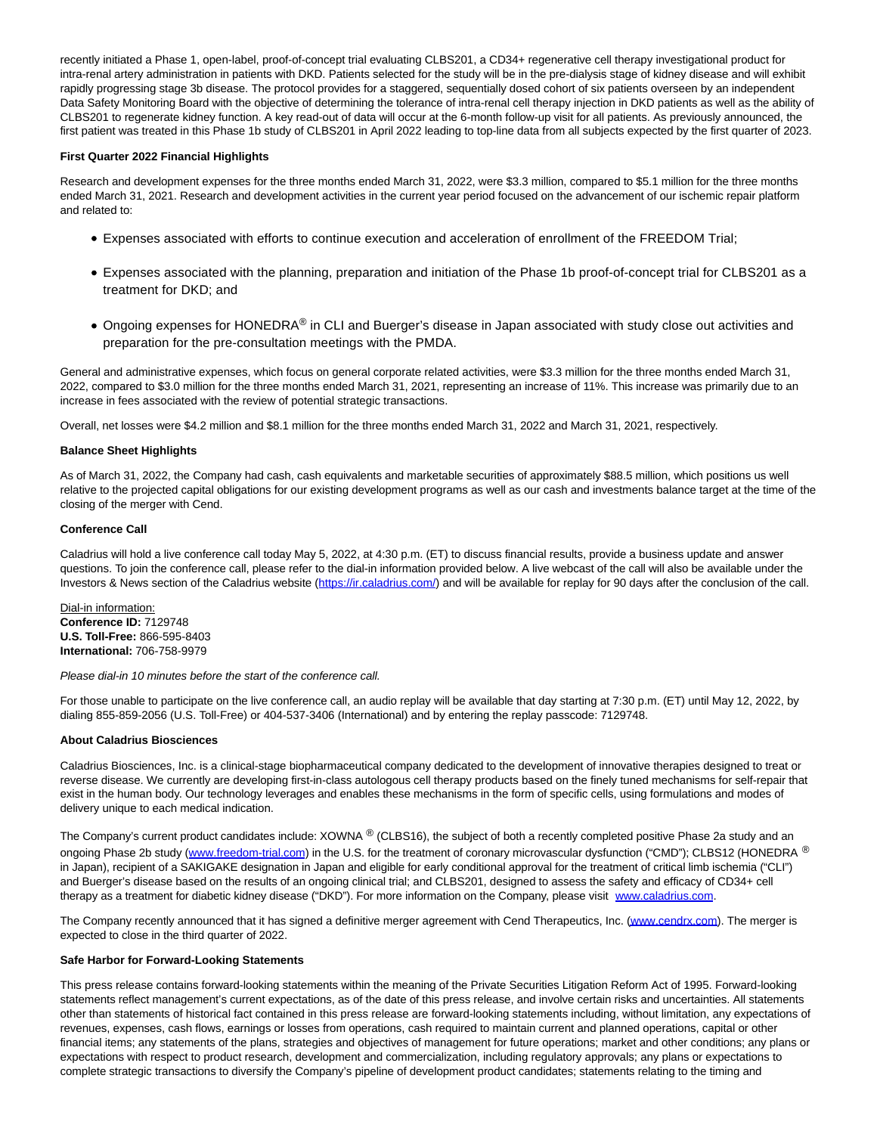recently initiated a Phase 1, open-label, proof-of-concept trial evaluating CLBS201, a CD34+ regenerative cell therapy investigational product for intra-renal artery administration in patients with DKD. Patients selected for the study will be in the pre-dialysis stage of kidney disease and will exhibit rapidly progressing stage 3b disease. The protocol provides for a staggered, sequentially dosed cohort of six patients overseen by an independent Data Safety Monitoring Board with the objective of determining the tolerance of intra-renal cell therapy injection in DKD patients as well as the ability of CLBS201 to regenerate kidney function. A key read-out of data will occur at the 6-month follow-up visit for all patients. As previously announced, the first patient was treated in this Phase 1b study of CLBS201 in April 2022 leading to top-line data from all subjects expected by the first quarter of 2023.

### **First Quarter 2022 Financial Highlights**

Research and development expenses for the three months ended March 31, 2022, were \$3.3 million, compared to \$5.1 million for the three months ended March 31, 2021. Research and development activities in the current year period focused on the advancement of our ischemic repair platform and related to:

- Expenses associated with efforts to continue execution and acceleration of enrollment of the FREEDOM Trial;
- Expenses associated with the planning, preparation and initiation of the Phase 1b proof-of-concept trial for CLBS201 as a treatment for DKD; and
- Ongoing expenses for HONEDRA® in CLI and Buerger's disease in Japan associated with study close out activities and preparation for the pre-consultation meetings with the PMDA.

General and administrative expenses, which focus on general corporate related activities, were \$3.3 million for the three months ended March 31, 2022, compared to \$3.0 million for the three months ended March 31, 2021, representing an increase of 11%. This increase was primarily due to an increase in fees associated with the review of potential strategic transactions.

Overall, net losses were \$4.2 million and \$8.1 million for the three months ended March 31, 2022 and March 31, 2021, respectively.

#### **Balance Sheet Highlights**

As of March 31, 2022, the Company had cash, cash equivalents and marketable securities of approximately \$88.5 million, which positions us well relative to the projected capital obligations for our existing development programs as well as our cash and investments balance target at the time of the closing of the merger with Cend.

#### **Conference Call**

Caladrius will hold a live conference call today May 5, 2022, at 4:30 p.m. (ET) to discuss financial results, provide a business update and answer questions. To join the conference call, please refer to the dial-in information provided below. A live webcast of the call will also be available under the Investors & News section of the Caladrius website [\(https://ir.caladrius.com/\)](https://www.globenewswire.com/Tracker?data=15NgJF5gkNVg2nvRY8zcqOfJ6KIzR2wYuDjoAMZlxkuM51hk6EjZzz5bp4wM6QN_PMHY_lmvE3ZsTSmR6cOa0ya3bVOyO1RlWyyt-pwG5jY=) and will be available for replay for 90 days after the conclusion of the call.

Dial-in information: **Conference ID:** 7129748 **U.S. Toll-Free:** 866-595-8403 **International:** 706-758-9979

Please dial-in 10 minutes before the start of the conference call.

For those unable to participate on the live conference call, an audio replay will be available that day starting at 7:30 p.m. (ET) until May 12, 2022, by dialing 855-859-2056 (U.S. Toll-Free) or 404-537-3406 (International) and by entering the replay passcode: 7129748.

#### **About Caladrius Biosciences**

Caladrius Biosciences, Inc. is a clinical-stage biopharmaceutical company dedicated to the development of innovative therapies designed to treat or reverse disease. We currently are developing first-in-class autologous cell therapy products based on the finely tuned mechanisms for self-repair that exist in the human body. Our technology leverages and enables these mechanisms in the form of specific cells, using formulations and modes of delivery unique to each medical indication.

The Company's current product candidates include: XOWNA ® (CLBS16), the subject of both a recently completed positive Phase 2a study and an ongoing Phase 2b study [\(www.freedom-trial.com\)](https://www.globenewswire.com/Tracker?data=cOojNSvMRSjD5dizTXKOCa-2PzO7vJsmHu9atT-eXTbY03z7r3bZ8MZLMOa9BWKGLT6Jg5ZMcjLuy6m482TEFE_e61s6l-8Y0LWXsVzlzCw=) in the U.S. for the treatment of coronary microvascular dysfunction ("CMD"); CLBS12 (HONEDRA ® in Japan), recipient of a SAKIGAKE designation in Japan and eligible for early conditional approval for the treatment of critical limb ischemia ("CLI") and Buerger's disease based on the results of an ongoing clinical trial; and CLBS201, designed to assess the safety and efficacy of CD34+ cell therapy as a treatment for diabetic kidney disease ("DKD"). For more information on the Company, please visit [www.caladrius.com.](https://www.globenewswire.com/Tracker?data=YouLslSTLVECUkF4IHIbz7HWefYxtd0vDUgMTzjasq1X7fDsi94kdn__b-RhLpceNPf7MMpDB3mBsN7fYUQmAA==)

The Company recently announced that it has signed a definitive merger agreement with Cend Therapeutics, Inc. [\(www.cendrx.com\).](https://www.globenewswire.com/Tracker?data=X49GBBrkfvLWLgGEnXrI7oNymvSkM9OUgnHbXXu29XV3JTf6C4_q2SBu9oT3hvoFZ4xPejuXRXHfhWB3-B3veg==) The merger is expected to close in the third quarter of 2022.

#### **Safe Harbor for Forward-Looking Statements**

This press release contains forward-looking statements within the meaning of the Private Securities Litigation Reform Act of 1995. Forward-looking statements reflect management's current expectations, as of the date of this press release, and involve certain risks and uncertainties. All statements other than statements of historical fact contained in this press release are forward-looking statements including, without limitation, any expectations of revenues, expenses, cash flows, earnings or losses from operations, cash required to maintain current and planned operations, capital or other financial items; any statements of the plans, strategies and objectives of management for future operations; market and other conditions; any plans or expectations with respect to product research, development and commercialization, including regulatory approvals; any plans or expectations to complete strategic transactions to diversify the Company's pipeline of development product candidates; statements relating to the timing and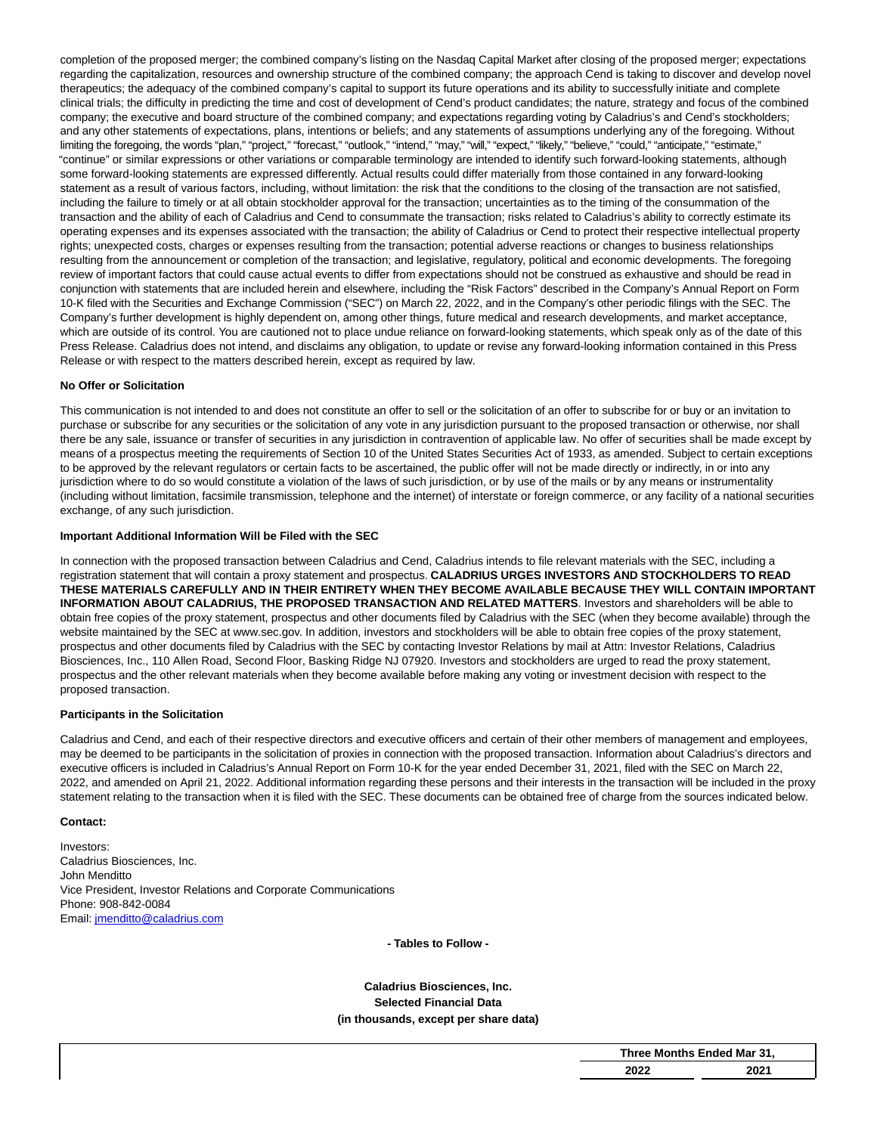completion of the proposed merger; the combined company's listing on the Nasdaq Capital Market after closing of the proposed merger; expectations regarding the capitalization, resources and ownership structure of the combined company; the approach Cend is taking to discover and develop novel therapeutics; the adequacy of the combined company's capital to support its future operations and its ability to successfully initiate and complete clinical trials; the difficulty in predicting the time and cost of development of Cend's product candidates; the nature, strategy and focus of the combined company; the executive and board structure of the combined company; and expectations regarding voting by Caladrius's and Cend's stockholders; and any other statements of expectations, plans, intentions or beliefs; and any statements of assumptions underlying any of the foregoing. Without limiting the foregoing, the words "plan," "project," "forecast," "outlook," "intend," "may," "will," "expect," "likely," "believe," "could," "anticipate," "estimate," "continue" or similar expressions or other variations or comparable terminology are intended to identify such forward-looking statements, although some forward-looking statements are expressed differently. Actual results could differ materially from those contained in any forward-looking statement as a result of various factors, including, without limitation: the risk that the conditions to the closing of the transaction are not satisfied, including the failure to timely or at all obtain stockholder approval for the transaction; uncertainties as to the timing of the consummation of the transaction and the ability of each of Caladrius and Cend to consummate the transaction; risks related to Caladrius's ability to correctly estimate its operating expenses and its expenses associated with the transaction; the ability of Caladrius or Cend to protect their respective intellectual property rights; unexpected costs, charges or expenses resulting from the transaction; potential adverse reactions or changes to business relationships resulting from the announcement or completion of the transaction; and legislative, regulatory, political and economic developments. The foregoing review of important factors that could cause actual events to differ from expectations should not be construed as exhaustive and should be read in conjunction with statements that are included herein and elsewhere, including the "Risk Factors" described in the Company's Annual Report on Form 10-K filed with the Securities and Exchange Commission ("SEC") on March 22, 2022, and in the Company's other periodic filings with the SEC. The Company's further development is highly dependent on, among other things, future medical and research developments, and market acceptance, which are outside of its control. You are cautioned not to place undue reliance on forward-looking statements, which speak only as of the date of this Press Release. Caladrius does not intend, and disclaims any obligation, to update or revise any forward-looking information contained in this Press Release or with respect to the matters described herein, except as required by law.

## **No Offer or Solicitation**

This communication is not intended to and does not constitute an offer to sell or the solicitation of an offer to subscribe for or buy or an invitation to purchase or subscribe for any securities or the solicitation of any vote in any jurisdiction pursuant to the proposed transaction or otherwise, nor shall there be any sale, issuance or transfer of securities in any jurisdiction in contravention of applicable law. No offer of securities shall be made except by means of a prospectus meeting the requirements of Section 10 of the United States Securities Act of 1933, as amended. Subject to certain exceptions to be approved by the relevant regulators or certain facts to be ascertained, the public offer will not be made directly or indirectly, in or into any jurisdiction where to do so would constitute a violation of the laws of such jurisdiction, or by use of the mails or by any means or instrumentality (including without limitation, facsimile transmission, telephone and the internet) of interstate or foreign commerce, or any facility of a national securities exchange, of any such jurisdiction.

## **Important Additional Information Will be Filed with the SEC**

In connection with the proposed transaction between Caladrius and Cend, Caladrius intends to file relevant materials with the SEC, including a registration statement that will contain a proxy statement and prospectus. **CALADRIUS URGES INVESTORS AND STOCKHOLDERS TO READ THESE MATERIALS CAREFULLY AND IN THEIR ENTIRETY WHEN THEY BECOME AVAILABLE BECAUSE THEY WILL CONTAIN IMPORTANT INFORMATION ABOUT CALADRIUS, THE PROPOSED TRANSACTION AND RELATED MATTERS**. Investors and shareholders will be able to obtain free copies of the proxy statement, prospectus and other documents filed by Caladrius with the SEC (when they become available) through the website maintained by the SEC at www.sec.gov. In addition, investors and stockholders will be able to obtain free copies of the proxy statement, prospectus and other documents filed by Caladrius with the SEC by contacting Investor Relations by mail at Attn: Investor Relations, Caladrius Biosciences, Inc., 110 Allen Road, Second Floor, Basking Ridge NJ 07920. Investors and stockholders are urged to read the proxy statement, prospectus and the other relevant materials when they become available before making any voting or investment decision with respect to the proposed transaction.

## **Participants in the Solicitation**

Caladrius and Cend, and each of their respective directors and executive officers and certain of their other members of management and employees, may be deemed to be participants in the solicitation of proxies in connection with the proposed transaction. Information about Caladrius's directors and executive officers is included in Caladrius's Annual Report on Form 10-K for the year ended December 31, 2021, filed with the SEC on March 22, 2022, and amended on April 21, 2022. Additional information regarding these persons and their interests in the transaction will be included in the proxy statement relating to the transaction when it is filed with the SEC. These documents can be obtained free of charge from the sources indicated below.

#### **Contact:**

Investors: Caladrius Biosciences, Inc. John Menditto Vice President, Investor Relations and Corporate Communications Phone: 908-842-0084 Email[: jmenditto@caladrius.com](https://www.globenewswire.com/Tracker?data=3Zo8lavQQe52jyr1stT2qfnP4cnspFXwcRFu6841CkAA4GRYj1QOsL9UiMVgblvCn8jcn9qoCeYUMJy3RKgzlA2wHE7vB9netEHVkZsefeI=)

**- Tables to Follow -**

## **Caladrius Biosciences, Inc. Selected Financial Data (in thousands, except per share data)**